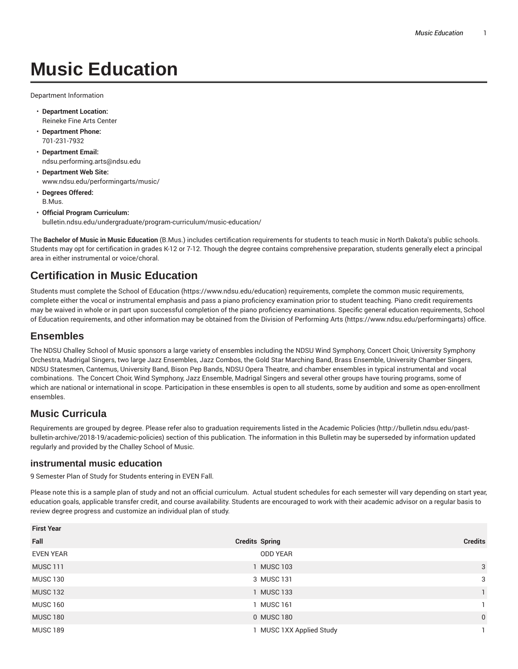Department Information

- **Department Location:** Reineke Fine Arts Center
- **Department Phone:** 701-231-7932
- **Department Email:** ndsu.performing.arts@ndsu.edu
- **Department Web Site:** www.ndsu.edu/performingarts/music/
- **Degrees Offered:** B.Mus.
- **Official Program Curriculum:** bulletin.ndsu.edu/undergraduate/program-curriculum/music-education/

The **Bachelor of Music in Music Education** (B.Mus.) includes certification requirements for students to teach music in North Dakota's public schools. Students may opt for certification in grades K-12 or 7-12. Though the degree contains comprehensive preparation, students generally elect a principal area in either instrumental or voice/choral.

# **Certification in Music Education**

Students must complete the School of Education (https://www.ndsu.edu/education) requirements, complete the common music requirements, complete either the vocal or instrumental emphasis and pass a piano proficiency examination prior to student teaching. Piano credit requirements may be waived in whole or in part upon successful completion of the piano proficiency examinations. Specific general education requirements, School of Education requirements, and other information may be obtained from the Division of Performing Arts (https://www.ndsu.edu/performingarts) office.

## **Ensembles**

The NDSU Challey School of Music sponsors a large variety of ensembles including the NDSU Wind Symphony, Concert Choir, University Symphony Orchestra, Madrigal Singers, two large Jazz Ensembles, Jazz Combos, the Gold Star Marching Band, Brass Ensemble, University Chamber Singers, NDSU Statesmen, Cantemus, University Band, Bison Pep Bands, NDSU Opera Theatre, and chamber ensembles in typical instrumental and vocal combinations. The Concert Choir, Wind Symphony, Jazz Ensemble, Madrigal Singers and several other groups have touring programs, some of which are national or international in scope. Participation in these ensembles is open to all students, some by audition and some as open-enrollment ensembles.

## **Music Curricula**

Requirements are grouped by degree. Please refer also to graduation requirements listed in the Academic Policies (http://bulletin.ndsu.edu/pastbulletin-archive/2018-19/academic-policies) section of this publication. The information in this Bulletin may be superseded by information updated regularly and provided by the Challey School of Music.

#### **instrumental music education**

9 Semester Plan of Study for Students entering in EVEN Fall.

Please note this is a sample plan of study and not an official curriculum. Actual student schedules for each semester will vary depending on start year, education goals, applicable transfer credit, and course availability. Students are encouraged to work with their academic advisor on a regular basis to review degree progress and customize an individual plan of study.

| <b>First Year</b> |                          |                |
|-------------------|--------------------------|----------------|
| Fall              | <b>Credits Spring</b>    | <b>Credits</b> |
| <b>EVEN YEAR</b>  | <b>ODD YEAR</b>          |                |
| <b>MUSC 111</b>   | 1 MUSC 103               | 3              |
| <b>MUSC 130</b>   | 3 MUSC 131               | 3              |
| <b>MUSC 132</b>   | 1 MUSC 133               |                |
| <b>MUSC 160</b>   | I MUSC 161               |                |
| <b>MUSC 180</b>   | 0 MUSC 180               | $\mathbf 0$    |
| <b>MUSC 189</b>   | 1 MUSC 1XX Applied Study |                |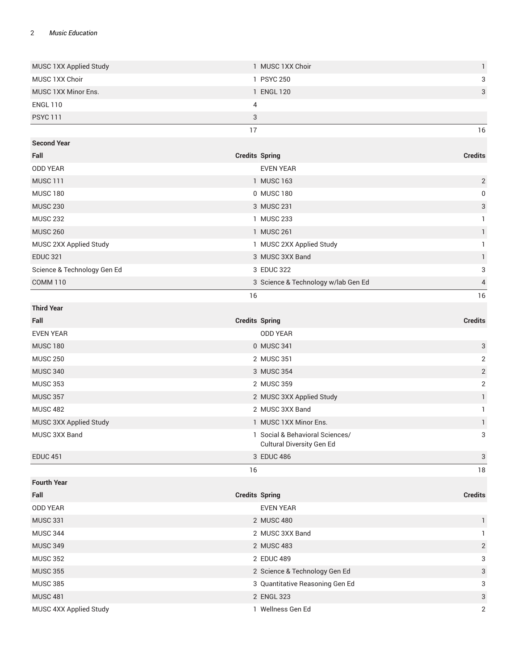| 16 |
|----|
|    |
|    |
| 3  |
| 3  |
|    |
|    |

| <b>Second Year</b>          |                                     |                |
|-----------------------------|-------------------------------------|----------------|
| Fall                        | <b>Credits Spring</b>               | <b>Credits</b> |
| <b>ODD YEAR</b>             | <b>EVEN YEAR</b>                    |                |
| <b>MUSC 111</b>             | 1 MUSC 163                          | 2              |
| <b>MUSC 180</b>             | 0 MUSC 180                          | $\mathbf 0$    |
| <b>MUSC 230</b>             | 3 MUSC 231                          | 3              |
| <b>MUSC 232</b>             | <b>MUSC 233</b>                     |                |
| <b>MUSC 260</b>             | 1 MUSC 261                          |                |
| MUSC 2XX Applied Study      | 1 MUSC 2XX Applied Study            |                |
| <b>EDUC 321</b>             | 3 MUSC 3XX Band                     |                |
| Science & Technology Gen Ed | 3 EDUC 322                          | 3              |
| COMM <sub>110</sub>         | 3 Science & Technology w/lab Gen Ed | $\overline{4}$ |
|                             | 16                                  | 16             |

| <b>Third Year</b>      |                                                              |                |
|------------------------|--------------------------------------------------------------|----------------|
| Fall                   | <b>Credits Spring</b>                                        | <b>Credits</b> |
| <b>EVEN YEAR</b>       | <b>ODD YEAR</b>                                              |                |
| <b>MUSC 180</b>        | 0 MUSC 341                                                   | 3              |
| <b>MUSC 250</b>        | 2 MUSC 351                                                   | 2              |
| <b>MUSC 340</b>        | 3 MUSC 354                                                   | 2              |
| <b>MUSC 353</b>        | 2 MUSC 359                                                   | 2              |
| <b>MUSC 357</b>        | 2 MUSC 3XX Applied Study                                     |                |
| <b>MUSC 482</b>        | 2 MUSC 3XX Band                                              |                |
| MUSC 3XX Applied Study | 1 MUSC 1XX Minor Ens.                                        |                |
| MUSC 3XX Band          | 1 Social & Behavioral Sciences/<br>Cultural Diversity Gen Ed | 3              |
| <b>EDUC 451</b>        | 3 EDUC 486                                                   | 3              |
|                        | 16                                                           | 18             |

| <b>Fourth Year</b>     |                                 |                |
|------------------------|---------------------------------|----------------|
| Fall                   | <b>Credits Spring</b>           | <b>Credits</b> |
| <b>ODD YEAR</b>        | <b>EVEN YEAR</b>                |                |
| <b>MUSC 331</b>        | 2 MUSC 480                      |                |
| <b>MUSC 344</b>        | 2 MUSC 3XX Band                 |                |
| <b>MUSC 349</b>        | 2 MUSC 483                      | 2              |
| <b>MUSC 352</b>        | 2 EDUC 489                      | 3              |
| <b>MUSC 355</b>        | 2 Science & Technology Gen Ed   | 3              |
| <b>MUSC 385</b>        | 3 Quantitative Reasoning Gen Ed | 3              |
| <b>MUSC 481</b>        | 2 ENGL 323                      | 3              |
| MUSC 4XX Applied Study | 1 Wellness Gen Ed               | $\overline{2}$ |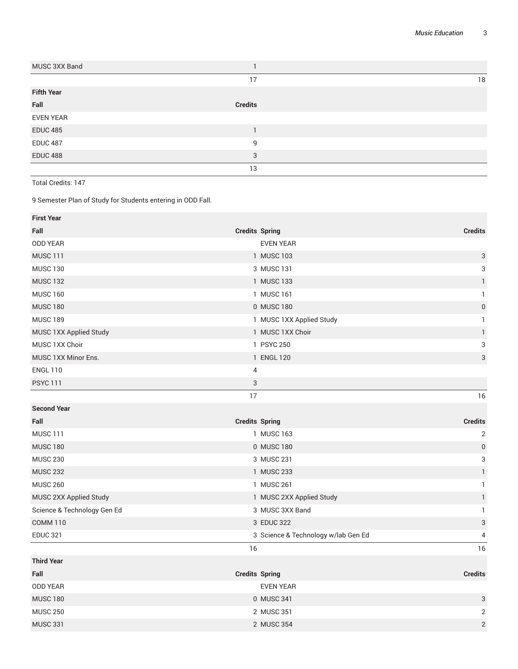| MUSC 3XX Band     |                |    |
|-------------------|----------------|----|
|                   | 17             | 18 |
| <b>Fifth Year</b> |                |    |
| Fall              | <b>Credits</b> |    |
| <b>EVEN YEAR</b>  |                |    |
| <b>EDUC 485</b>   |                |    |
| <b>EDUC 487</b>   | 9              |    |
| <b>EDUC 488</b>   | 3              |    |
|                   | 13             |    |

Total Credits: 147

9 Semester Plan of Study for Students entering in ODD Fall.

| <b>First Year</b>           |                                     |                           |
|-----------------------------|-------------------------------------|---------------------------|
| Fall                        | <b>Credits Spring</b>               | <b>Credits</b>            |
| <b>ODD YEAR</b>             | <b>EVEN YEAR</b>                    |                           |
| <b>MUSC 111</b>             | 1 MUSC 103                          | $\ensuremath{\mathsf{3}}$ |
| <b>MUSC 130</b>             | 3 MUSC 131                          | 3                         |
| <b>MUSC 132</b>             | 1 MUSC 133                          | $\mathbf{1}$              |
| <b>MUSC 160</b>             | 1 MUSC 161                          | $\mathbf{1}$              |
| <b>MUSC 180</b>             | 0 MUSC 180                          | $\boldsymbol{0}$          |
| <b>MUSC 189</b>             | 1 MUSC 1XX Applied Study            | $\mathbf{1}$              |
| MUSC 1XX Applied Study      | 1 MUSC 1XX Choir                    | $\mathbf{1}$              |
| MUSC 1XX Choir              | 1 PSYC 250                          | 3                         |
| MUSC 1XX Minor Ens.         | 1 ENGL 120                          | 3                         |
| <b>ENGL 110</b>             | $\overline{4}$                      |                           |
| <b>PSYC 111</b>             | 3                                   |                           |
|                             | 17                                  | 16                        |
| <b>Second Year</b>          |                                     |                           |
| Fall                        | <b>Credits Spring</b>               | <b>Credits</b>            |
| <b>MUSC 111</b>             | 1 MUSC 163                          | $\sqrt{2}$                |
| <b>MUSC 180</b>             | 0 MUSC 180                          | $\pmb{0}$                 |
| <b>MUSC 230</b>             | 3 MUSC 231                          | 3                         |
| <b>MUSC 232</b>             | 1 MUSC 233                          | $\mathbf{1}$              |
| <b>MUSC 260</b>             | 1 MUSC 261                          | $\mathbf{1}$              |
| MUSC 2XX Applied Study      | 1 MUSC 2XX Applied Study            | $\mathbf{1}$              |
| Science & Technology Gen Ed | 3 MUSC 3XX Band                     | $\mathbf{1}$              |
| <b>COMM 110</b>             | 3 EDUC 322                          | $\ensuremath{\mathsf{3}}$ |
| <b>EDUC 321</b>             | 3 Science & Technology w/lab Gen Ed | 4                         |
|                             | 16                                  | 16                        |
| <b>Third Year</b>           |                                     |                           |
| Fall                        | <b>Credits Spring</b>               | <b>Credits</b>            |
| <b>ODD YEAR</b>             | <b>EVEN YEAR</b>                    |                           |
| <b>MUSC 180</b>             | 0 MUSC 341                          | 3                         |
| <b>MUSC 250</b>             | 2 MUSC 351                          | 2                         |
| <b>MUSC 331</b>             | 2 MUSC 354                          | $\sqrt{2}$                |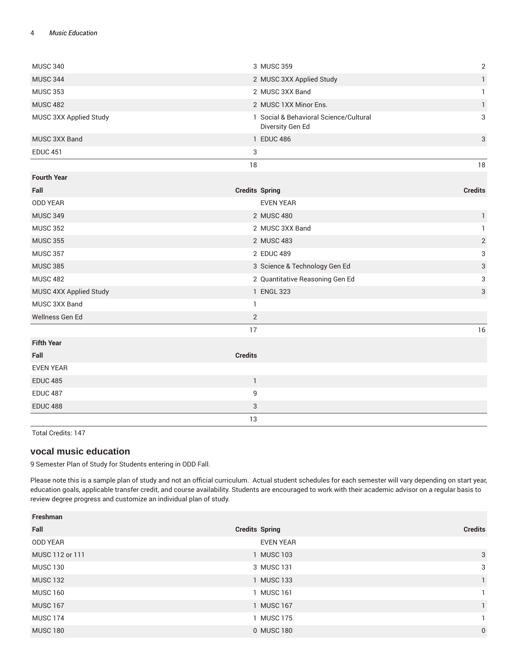| <b>MUSC 340</b>        |                       | 3 MUSC 359                                                 | $\sqrt{2}$                |
|------------------------|-----------------------|------------------------------------------------------------|---------------------------|
| <b>MUSC 344</b>        |                       | 2 MUSC 3XX Applied Study                                   | $\mathbf{1}$              |
| <b>MUSC 353</b>        |                       | 2 MUSC 3XX Band                                            | $\mathbf{1}$              |
| <b>MUSC 482</b>        |                       | 2 MUSC 1XX Minor Ens.                                      | $\mathbf{1}$              |
| MUSC 3XX Applied Study |                       | 1 Social & Behavioral Science/Cultural<br>Diversity Gen Ed | 3                         |
| MUSC 3XX Band          |                       | 1 EDUC 486                                                 | 3                         |
| <b>EDUC 451</b>        | 3                     |                                                            |                           |
|                        | 18                    |                                                            | $18\,$                    |
| <b>Fourth Year</b>     |                       |                                                            |                           |
| Fall                   | <b>Credits Spring</b> |                                                            | <b>Credits</b>            |
| <b>ODD YEAR</b>        |                       | <b>EVEN YEAR</b>                                           |                           |
| <b>MUSC 349</b>        |                       | 2 MUSC 480                                                 | $\mathbf{1}$              |
| <b>MUSC 352</b>        |                       | 2 MUSC 3XX Band                                            | $\mathbf{1}$              |
| <b>MUSC 355</b>        |                       | 2 MUSC 483                                                 | $\mathbf{2}$              |
| <b>MUSC 357</b>        |                       | 2 EDUC 489                                                 | $\ensuremath{\mathsf{3}}$ |
| <b>MUSC 385</b>        |                       | 3 Science & Technology Gen Ed                              | $\ensuremath{\mathsf{3}}$ |
| <b>MUSC 482</b>        |                       | 2 Quantitative Reasoning Gen Ed                            | 3                         |
| MUSC 4XX Applied Study |                       | 1 ENGL 323                                                 | $\ensuremath{\mathsf{3}}$ |
| MUSC 3XX Band          | $\mathbf{1}$          |                                                            |                           |
| Wellness Gen Ed        | 2                     |                                                            |                           |
|                        | 17                    |                                                            | 16                        |
| <b>Fifth Year</b>      |                       |                                                            |                           |
| Fall                   | <b>Credits</b>        |                                                            |                           |
| <b>EVEN YEAR</b>       |                       |                                                            |                           |
| <b>EDUC 485</b>        | $\mathbf{1}$          |                                                            |                           |
| <b>EDUC 487</b>        | 9                     |                                                            |                           |
| <b>EDUC 488</b>        | 3                     |                                                            |                           |
|                        | 13                    |                                                            |                           |

Total Credits: 147

### **vocal music education**

9 Semester Plan of Study for Students entering in ODD Fall.

Please note this is a sample plan of study and not an official curriculum. Actual student schedules for each semester will vary depending on start year, education goals, applicable transfer credit, and course availability. Students are encouraged to work with their academic advisor on a regular basis to review degree progress and customize an individual plan of study.

| Freshman        |                       |                |
|-----------------|-----------------------|----------------|
| Fall            | <b>Credits Spring</b> | <b>Credits</b> |
| <b>ODD YEAR</b> | <b>EVEN YEAR</b>      |                |
| MUSC 112 or 111 | 1 MUSC 103            | $\mathbf{3}$   |
| <b>MUSC 130</b> | 3 MUSC 131            | 3              |
| <b>MUSC 132</b> | 1 MUSC 133            | $\mathbf{1}$   |
| <b>MUSC 160</b> | 1 MUSC 161            |                |
| <b>MUSC 167</b> | 1 MUSC 167            |                |
| <b>MUSC 174</b> | 1 MUSC 175            |                |
| <b>MUSC 180</b> | 0 MUSC 180            | $\mathbf 0$    |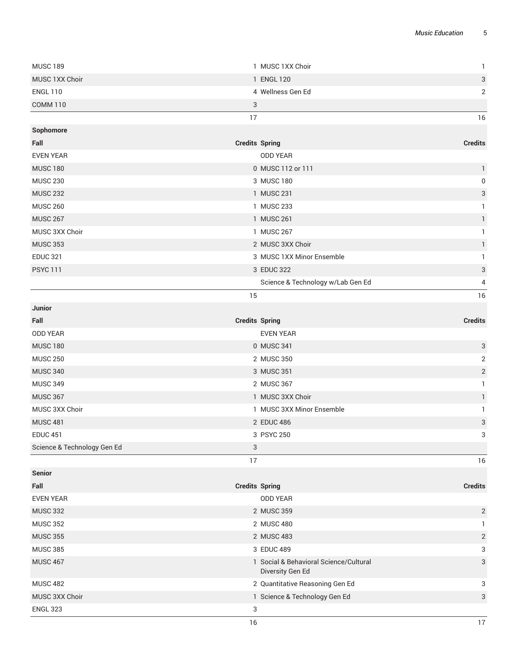| <b>MUSC 189</b>             | 1 MUSC 1XX Choir                                           | $\mathbf{1}$              |
|-----------------------------|------------------------------------------------------------|---------------------------|
| MUSC 1XX Choir              | 1 ENGL 120                                                 | 3                         |
| <b>ENGL 110</b>             | 4 Wellness Gen Ed                                          | $\overline{2}$            |
| <b>COMM 110</b>             | 3                                                          |                           |
|                             | 17                                                         | 16                        |
| Sophomore                   |                                                            |                           |
| Fall                        | <b>Credits Spring</b>                                      | <b>Credits</b>            |
| <b>EVEN YEAR</b>            | <b>ODD YEAR</b>                                            |                           |
| <b>MUSC 180</b>             | 0 MUSC 112 or 111                                          | $\mathbf{1}$              |
| <b>MUSC 230</b>             | 3 MUSC 180                                                 | $\pmb{0}$                 |
| <b>MUSC 232</b>             | 1 MUSC 231                                                 | 3                         |
| <b>MUSC 260</b>             | 1 MUSC 233                                                 | 1                         |
| <b>MUSC 267</b>             | 1 MUSC 261                                                 | $\mathbf{1}$              |
| MUSC 3XX Choir              | 1 MUSC 267                                                 | 1                         |
| <b>MUSC 353</b>             | 2 MUSC 3XX Choir                                           | $\mathbf{1}$              |
| <b>EDUC 321</b>             | 3 MUSC 1XX Minor Ensemble                                  | 1                         |
| <b>PSYC 111</b>             | 3 EDUC 322                                                 | 3                         |
|                             | Science & Technology w/Lab Gen Ed                          | 4                         |
|                             | 15                                                         | 16                        |
| Junior                      |                                                            |                           |
| Fall                        | <b>Credits Spring</b>                                      | <b>Credits</b>            |
| <b>ODD YEAR</b>             | <b>EVEN YEAR</b>                                           |                           |
| <b>MUSC 180</b>             | 0 MUSC 341                                                 | 3                         |
| <b>MUSC 250</b>             | 2 MUSC 350                                                 | $\sqrt{2}$                |
| <b>MUSC 340</b>             | 3 MUSC 351                                                 | $\sqrt{2}$                |
| <b>MUSC 349</b>             | 2 MUSC 367                                                 | $\mathbf{1}$              |
| <b>MUSC 367</b>             | 1 MUSC 3XX Choir                                           | $\mathbf{1}$              |
| MUSC 3XX Choir              | 1 MUSC 3XX Minor Ensemble                                  | $\mathbf{1}$              |
| <b>MUSC 481</b>             | 2 EDUC 486                                                 | 3                         |
| <b>EDUC 451</b>             | 3 PSYC 250                                                 | 3                         |
| Science & Technology Gen Ed | 3                                                          |                           |
|                             | 17                                                         | 16                        |
| <b>Senior</b>               |                                                            |                           |
| Fall                        | <b>Credits Spring</b>                                      | <b>Credits</b>            |
| <b>EVEN YEAR</b>            | <b>ODD YEAR</b>                                            |                           |
| <b>MUSC 332</b>             | 2 MUSC 359                                                 | $\overline{2}$            |
| <b>MUSC 352</b>             | 2 MUSC 480                                                 | $\mathbf{1}$              |
| <b>MUSC 355</b>             | 2 MUSC 483                                                 | $\overline{2}$            |
| <b>MUSC 385</b>             | 3 EDUC 489                                                 | 3                         |
| <b>MUSC 467</b>             | 1 Social & Behavioral Science/Cultural<br>Diversity Gen Ed | $\ensuremath{\mathsf{3}}$ |
| <b>MUSC 482</b>             | 2 Quantitative Reasoning Gen Ed                            | 3                         |
| MUSC 3XX Choir              | 1 Science & Technology Gen Ed                              | 3                         |
| <b>ENGL 323</b>             | $\sqrt{3}$                                                 |                           |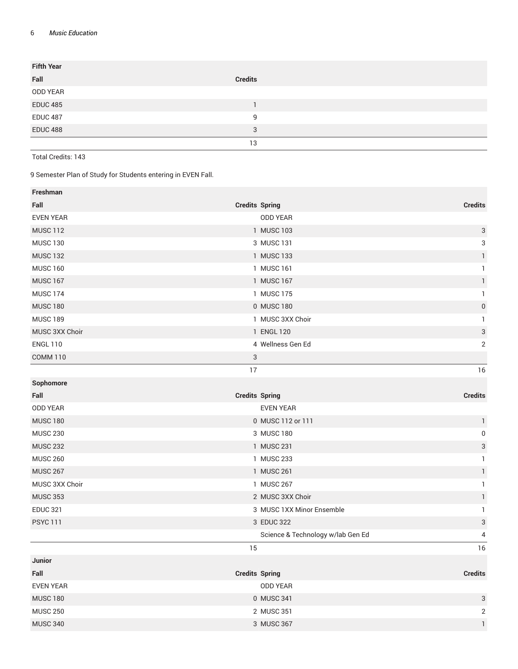| <b>Fifth Year</b> |                |
|-------------------|----------------|
| Fall              | <b>Credits</b> |
| ODD YEAR          |                |
| <b>EDUC 485</b>   |                |
| <b>EDUC 487</b>   | 9              |
| <b>EDUC 488</b>   | 3              |
|                   | 13             |

Total Credits: 143

9 Semester Plan of Study for Students entering in EVEN Fall.

| Freshman         |                                   |                           |
|------------------|-----------------------------------|---------------------------|
| Fall             | <b>Credits Spring</b>             | <b>Credits</b>            |
| <b>EVEN YEAR</b> | <b>ODD YEAR</b>                   |                           |
| <b>MUSC 112</b>  | 1 MUSC 103                        | $\ensuremath{\mathsf{3}}$ |
| <b>MUSC 130</b>  | 3 MUSC 131                        | 3                         |
| <b>MUSC 132</b>  | 1 MUSC 133                        | $\mathbf{1}$              |
| <b>MUSC 160</b>  | 1 MUSC 161                        | $\mathbf{1}$              |
| <b>MUSC 167</b>  | 1 MUSC 167                        | $\mathbf{1}$              |
| <b>MUSC 174</b>  | 1 MUSC 175                        | $\mathbf{1}$              |
| <b>MUSC 180</b>  | 0 MUSC 180                        | $\boldsymbol{0}$          |
| <b>MUSC 189</b>  | 1 MUSC 3XX Choir                  | $\mathbf{1}$              |
| MUSC 3XX Choir   | 1 ENGL 120                        | $\sqrt{3}$                |
| <b>ENGL 110</b>  | 4 Wellness Gen Ed                 | $\overline{2}$            |
| <b>COMM 110</b>  | $\ensuremath{\mathsf{3}}$         |                           |
|                  | 17                                | 16                        |
| Sophomore        |                                   |                           |
| Fall             | <b>Credits Spring</b>             | <b>Credits</b>            |
| <b>ODD YEAR</b>  | <b>EVEN YEAR</b>                  |                           |
| <b>MUSC 180</b>  | 0 MUSC 112 or 111                 | $\mathbf{1}$              |
| <b>MUSC 230</b>  | 3 MUSC 180                        | $\boldsymbol{0}$          |
| <b>MUSC 232</b>  | 1 MUSC 231                        | $\sqrt{3}$                |
| <b>MUSC 260</b>  | 1 MUSC 233                        | $\mathbf{1}$              |
| <b>MUSC 267</b>  | 1 MUSC 261                        | $\mathbf{1}$              |
| MUSC 3XX Choir   | 1 MUSC 267                        | $\mathbf{1}$              |
| <b>MUSC 353</b>  | 2 MUSC 3XX Choir                  | $\mathbf{1}$              |
| <b>EDUC 321</b>  | 3 MUSC 1XX Minor Ensemble         | $\mathbf{1}$              |
| <b>PSYC 111</b>  | 3 EDUC 322                        | $\sqrt{3}$                |
|                  | Science & Technology w/lab Gen Ed | 4                         |
|                  | 15                                | 16                        |
| Junior           |                                   |                           |
| Fall             | <b>Credits Spring</b>             | <b>Credits</b>            |
| <b>EVEN YEAR</b> | <b>ODD YEAR</b>                   |                           |
| <b>MUSC 180</b>  | 0 MUSC 341                        | $\ensuremath{\mathsf{3}}$ |
| <b>MUSC 250</b>  | 2 MUSC 351                        | $\overline{2}$            |
| <b>MUSC 340</b>  | 3 MUSC 367                        | $\mathbf{1}$              |